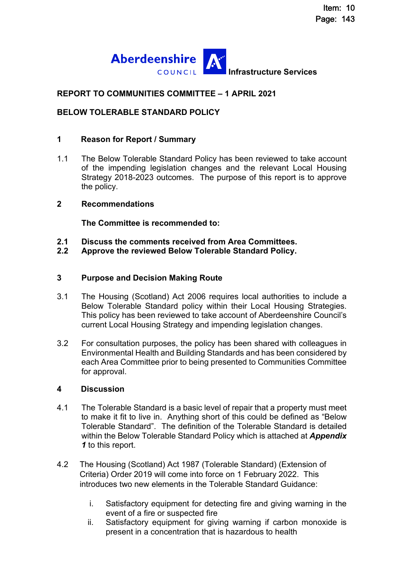

# **REPORT TO COMMUNITIES COMMITTEE – 1 APRIL 2021**

#### **BELOW TOLERABLE STANDARD POLICY**

#### **1 Reason for Report / Summary**

1.1 The Below Tolerable Standard Policy has been reviewed to take account of the impending legislation changes and the relevant Local Housing Strategy 2018-2023 outcomes. The purpose of this report is to approve the policy.

#### **2 Recommendations**

**The Committee is recommended to:** 

- **2.1 Discuss the comments received from Area Committees.**
- **2.2 Approve the reviewed Below Tolerable Standard Policy.**

#### **3 Purpose and Decision Making Route**

- 3.1 The Housing (Scotland) Act 2006 requires local authorities to include a Below Tolerable Standard policy within their Local Housing Strategies. This policy has been reviewed to take account of Aberdeenshire Council's current Local Housing Strategy and impending legislation changes.
- 3.2 For consultation purposes, the policy has been shared with colleagues in Environmental Health and Building Standards and has been considered by each Area Committee prior to being presented to Communities Committee for approval.

#### **4 Discussion**

- 4.1 The Tolerable Standard is a basic level of repair that a property must meet to make it fit to live in. Anything short of this could be defined as "Below Tolerable Standard". The definition of the Tolerable Standard is detailed within the Below Tolerable Standard Policy which is attached at *Appendix 1* to this report.
- 4.2 The Housing (Scotland) Act 1987 (Tolerable Standard) (Extension of Criteria) Order 2019 will come into force on 1 February 2022. This introduces two new elements in the Tolerable Standard Guidance:
	- i. Satisfactory equipment for detecting fire and giving warning in the event of a fire or suspected fire
	- ii. Satisfactory equipment for giving warning if carbon monoxide is present in a concentration that is hazardous to health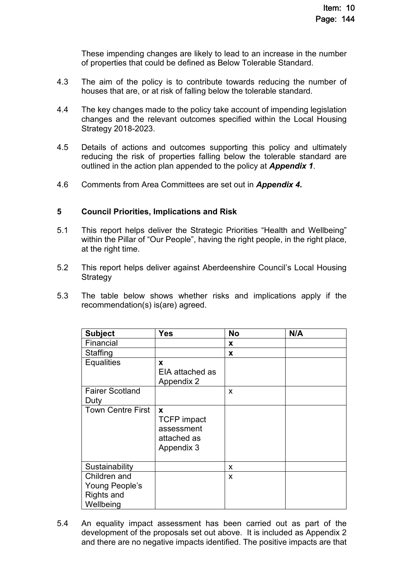These impending changes are likely to lead to an increase in the number of properties that could be defined as Below Tolerable Standard.

- 4.3 The aim of the policy is to contribute towards reducing the number of houses that are, or at risk of falling below the tolerable standard.
- 4.4 The key changes made to the policy take account of impending legislation changes and the relevant outcomes specified within the Local Housing Strategy 2018-2023.
- 4.5 Details of actions and outcomes supporting this policy and ultimately reducing the risk of properties falling below the tolerable standard are outlined in the action plan appended to the policy at *Appendix 1*.
- 4.6 Comments from Area Committees are set out in *Appendix 4.*

#### **5 Council Priorities, Implications and Risk**

- 5.1 This report helps deliver the Strategic Priorities "Health and Wellbeing" within the Pillar of "Our People", having the right people, in the right place, at the right time.
- 5.2 This report helps deliver against Aberdeenshire Council's Local Housing **Strategy**
- 5.3 The table below shows whether risks and implications apply if the recommendation(s) is(are) agreed.

| <b>Subject</b>           | <b>Yes</b>                                                         | <b>No</b> | N/A |
|--------------------------|--------------------------------------------------------------------|-----------|-----|
| Financial                |                                                                    | X         |     |
| Staffing                 |                                                                    | X         |     |
| <b>Equalities</b>        | X<br>EIA attached as<br>Appendix 2                                 |           |     |
| <b>Fairer Scotland</b>   |                                                                    | X         |     |
| Duty                     |                                                                    |           |     |
| <b>Town Centre First</b> | X<br><b>TCFP</b> impact<br>assessment<br>attached as<br>Appendix 3 |           |     |
| Sustainability           |                                                                    | X         |     |
| Children and             |                                                                    | X         |     |
| Young People's           |                                                                    |           |     |
| <b>Rights and</b>        |                                                                    |           |     |
| Wellbeing                |                                                                    |           |     |

5.4 An equality impact assessment has been carried out as part of the development of the proposals set out above. It is included as Appendix 2 and there are no negative impacts identified. The positive impacts are that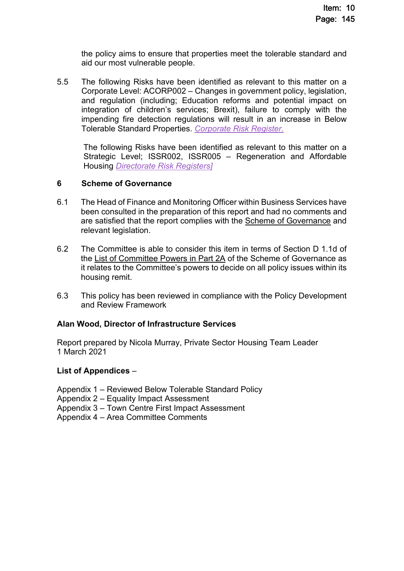the policy aims to ensure that properties meet the tolerable standard and aid our most vulnerable people.

5.5 The following Risks have been identified as relevant to this matter on a Corporate Level: ACORP002 – Changes in government policy, legislation, and regulation (including; Education reforms and potential impact on integration of children's services; Brexit), failure to comply with the impending fire detection regulations will result in an increase in Below Tolerable Standard Properties. *[Corporate Risk Register.](https://www.aberdeenshire.gov.uk/media/24689/aberdeenshirecorporaterisks.pdf)* 

The following Risks have been identified as relevant to this matter on a Strategic Level; ISSR002, ISSR005 – Regeneration and Affordable Housing *[Directorate Risk Registers\]](https://www.aberdeenshire.gov.uk/media/23596/20181128-directorate-risks.pdf)*

#### **6 Scheme of Governance**

- 6.1 The Head of Finance and Monitoring Officer within Business Services have been consulted in the preparation of this report and had no comments and are satisfied that the report complies with the [Scheme of Governance](https://www.aberdeenshire.gov.uk/council-and-democracy/scheme-of-governance/) and relevant legislation.
- 6.2 The Committee is able to consider this item in terms of Section D 1.1d of the [List of Committee Powers in Part 2A](http://publications.aberdeenshire.gov.uk/dataset/c8044f6f-e327-499f-bbc7-94ae9d699559/resource/8d829bb9-95e7-4c83-bc0b-63b76bcba159/download/list-of-committee-powers.pdf) of the Scheme of Governance as it relates to the Committee's powers to decide on all policy issues within its housing remit.
- 6.3 This policy has been reviewed in compliance with the Policy Development and Review Framework

#### **Alan Wood, Director of Infrastructure Services**

Report prepared by Nicola Murray, Private Sector Housing Team Leader 1 March 2021

#### **List of Appendices** *–*

Appendix 1 – Reviewed Below Tolerable Standard Policy

Appendix 2 – Equality Impact Assessment

Appendix 3 – Town Centre First Impact Assessment

Appendix 4 – Area Committee Comments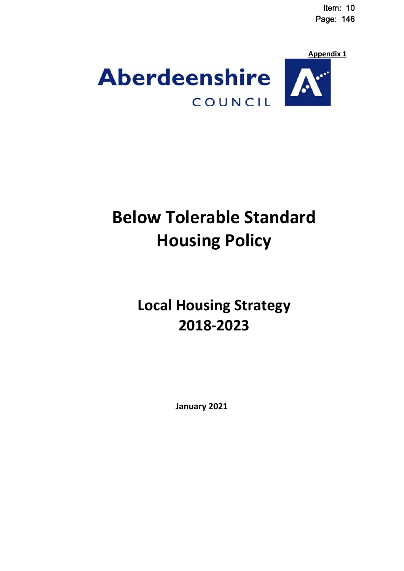Item: 10 Page: 146



# **Below Tolerable Standard Housing Policy**

# **Local Housing Strategy 2018-2023**

**January 2021**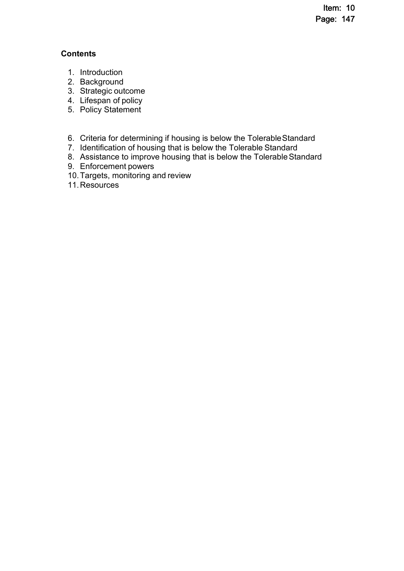Item: 10 Page: 147

# **Contents**

- 1. Introduction
- 2. Background
- 3. Strategic outcome
- 4. Lifespan of policy
- 5. Policy Statement
- 6. Criteria for determining if housing is below the Tolerable Standard
- 7. Identification of housing that is below the Tolerable Standard
- 8. Assistance to improve housing that is below the Tolerable Standard
- 9. Enforcement powers
- 10. Targets, monitoring and review
- 11. Resources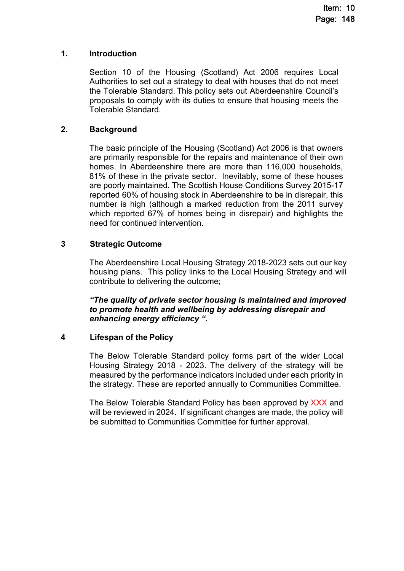#### **1. Introduction**

Section 10 of the Housing (Scotland) Act 2006 requires Local Authorities to set out a strategy to deal with houses that do not meet the Tolerable Standard. This policy sets out Aberdeenshire Council's proposals to comply with its duties to ensure that housing meets the Tolerable Standard.

# **2. Background**

The basic principle of the Housing (Scotland) Act 2006 is that owners are primarily responsible for the repairs and maintenance of their own homes. In Aberdeenshire there are more than 116,000 households, 81% of these in the private sector. Inevitably, some of these houses are poorly maintained. The Scottish House Conditions Survey 2015-17 reported 60% of housing stock in Aberdeenshire to be in disrepair, this number is high (although a marked reduction from the 2011 survey which reported 67% of homes being in disrepair) and highlights the need for continued intervention.

# **3 Strategic Outcome**

The Aberdeenshire Local Housing Strategy 2018-2023 sets out our key housing plans. This policy links to the Local Housing Strategy and will contribute to delivering the outcome;

*"The quality of private sector housing is maintained and improved to promote health and wellbeing by addressing disrepair and enhancing energy efficiency ".* 

# **4 Lifespan of the Policy**

The Below Tolerable Standard policy forms part of the wider Local Housing Strategy 2018 - 2023. The delivery of the strategy will be measured by the performance indicators included under each priority in the strategy. These are reported annually to Communities Committee.

The Below Tolerable Standard Policy has been approved by XXX and will be reviewed in 2024. If significant changes are made, the policy will be submitted to Communities Committee for further approval.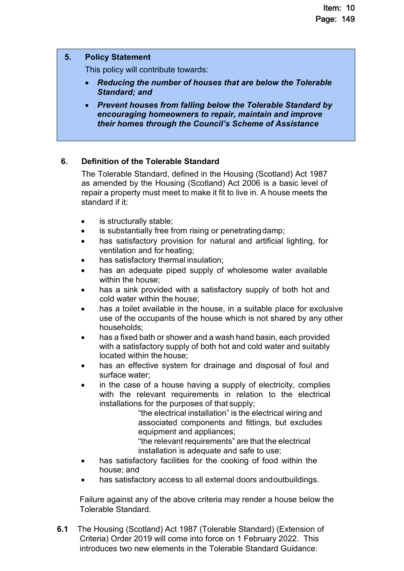#### **5. Policy Statement**

This policy will contribute towards:

- *Reducing the number of houses that are below the Tolerable Standard; and*
- *Prevent houses from falling below the Tolerable Standard by encouraging homeowners to repair, maintain and improve their homes through the Council's Scheme of Assistance*

# **6. Definition of the Tolerable Standard**

 The Tolerable Standard, defined in the Housing (Scotland) Act 1987 as amended by the Housing (Scotland) Act 2006 is a basic level of repair a property must meet to make it fit to live in. A house meets the standard if it:

- is structurally stable;
- is substantially free from rising or penetrating damp;
- has satisfactory provision for natural and artificial lighting, for ventilation and for heating;
- has satisfactory thermal insulation;
- has an adequate piped supply of wholesome water available within the house;
- has a sink provided with a satisfactory supply of both hot and cold water within the house;
- has a toilet available in the house, in a suitable place for exclusive use of the occupants of the house which is not shared by any other households;
- has a fixed bath or shower and a wash hand basin, each provided with a satisfactory supply of both hot and cold water and suitably located within the house;
- has an effective system for drainage and disposal of foul and surface water;
- in the case of a house having a supply of electricity, complies with the relevant requirements in relation to the electrical installations for the purposes of that supply;

"the electrical installation" is the electrical wiring and associated components and fittings, but excludes equipment and appliances;

"the relevant requirements" are that the electrical installation is adequate and safe to use;

- has satisfactory facilities for the cooking of food within the house; and
- has satisfactory access to all external doors and outbuildings.

 Failure against any of the above criteria may render a house below the Tolerable Standard.

**6.1** The Housing (Scotland) Act 1987 (Tolerable Standard) (Extension of Criteria) Order 2019 will come into force on 1 February 2022. This introduces two new elements in the Tolerable Standard Guidance: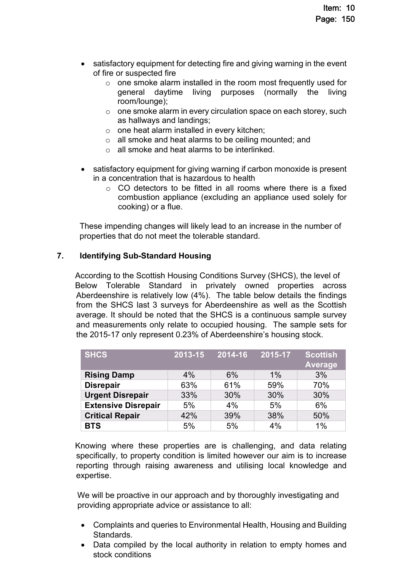- satisfactory equipment for detecting fire and giving warning in the event of fire or suspected fire
	- o one smoke alarm installed in the room most frequently used for general daytime living purposes (normally the living room/lounge);
	- o one smoke alarm in every circulation space on each storey, such as hallways and landings;
	- o one heat alarm installed in every kitchen;
	- o all smoke and heat alarms to be ceiling mounted; and
	- o all smoke and heat alarms to be interlinked.
- satisfactory equipment for giving warning if carbon monoxide is present in a concentration that is hazardous to health
	- $\circ$  CO detectors to be fitted in all rooms where there is a fixed combustion appliance (excluding an appliance used solely for cooking) or a flue.

 These impending changes will likely lead to an increase in the number of properties that do not meet the tolerable standard.

# **7. Identifying Sub-Standard Housing**

 According to the Scottish Housing Conditions Survey (SHCS), the level of Below Tolerable Standard in privately owned properties across Aberdeenshire is relatively low (4%). The table below details the findings from the SHCS last 3 surveys for Aberdeenshire as well as the Scottish average. It should be noted that the SHCS is a continuous sample survey and measurements only relate to occupied housing. The sample sets for the 2015-17 only represent 0.23% of Aberdeenshire's housing stock.

| <b>SHCS</b>                | 2013-15 | 2014-16 | 2015-17 | <b>Scottish</b><br><b>Average</b> |
|----------------------------|---------|---------|---------|-----------------------------------|
| <b>Rising Damp</b>         | 4%      | 6%      | 1%      | 3%                                |
| <b>Disrepair</b>           | 63%     | 61%     | 59%     | 70%                               |
| <b>Urgent Disrepair</b>    | 33%     | 30%     | 30%     | 30%                               |
| <b>Extensive Disrepair</b> | 5%      | 4%      | 5%      | 6%                                |
| <b>Critical Repair</b>     | 42%     | 39%     | 38%     | 50%                               |
| <b>BTS</b>                 | 5%      | 5%      | 4%      | 1%                                |

 Knowing where these properties are is challenging, and data relating specifically, to property condition is limited however our aim is to increase reporting through raising awareness and utilising local knowledge and expertise.

 We will be proactive in our approach and by thoroughly investigating and providing appropriate advice or assistance to all:

- Complaints and queries to Environmental Health, Housing and Building Standards.
- Data compiled by the local authority in relation to empty homes and stock conditions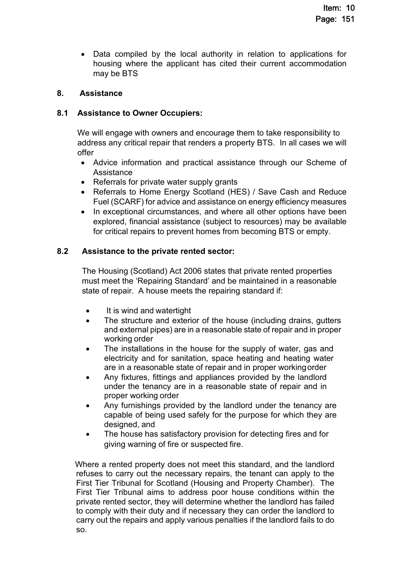Data compiled by the local authority in relation to applications for housing where the applicant has cited their current accommodation may be BTS

# **8. Assistance**

# **8.1 Assistance to Owner Occupiers:**

 We will engage with owners and encourage them to take responsibility to address any critical repair that renders a property BTS. In all cases we will offer

- Advice information and practical assistance through our Scheme of **Assistance**
- Referrals for private water supply grants
- Referrals to Home Energy Scotland (HES) / Save Cash and Reduce Fuel (SCARF) for advice and assistance on energy efficiency measures
- In exceptional circumstances, and where all other options have been explored, financial assistance (subject to resources) may be available for critical repairs to prevent homes from becoming BTS or empty.

# **8.2 Assistance to the private rented sector:**

 The Housing (Scotland) Act 2006 states that private rented properties must meet the 'Repairing Standard' and be maintained in a reasonable state of repair. A house meets the repairing standard if:

- It is wind and watertight
- The structure and exterior of the house (including drains, gutters and external pipes) are in a reasonable state of repair and in proper working order
- The installations in the house for the supply of water, gas and electricity and for sanitation, space heating and heating water are in a reasonable state of repair and in proper working order
- Any fixtures, fittings and appliances provided by the landlord under the tenancy are in a reasonable state of repair and in proper working order
- Any furnishings provided by the landlord under the tenancy are capable of being used safely for the purpose for which they are designed, and
- The house has satisfactory provision for detecting fires and for giving warning of fire or suspected fire.

 Where a rented property does not meet this standard, and the landlord refuses to carry out the necessary repairs, the tenant can apply to the First Tier Tribunal for Scotland (Housing and Property Chamber). The First Tier Tribunal aims to address poor house conditions within the private rented sector, they will determine whether the landlord has failed to comply with their duty and if necessary they can order the landlord to carry out the repairs and apply various penalties if the landlord fails to do so.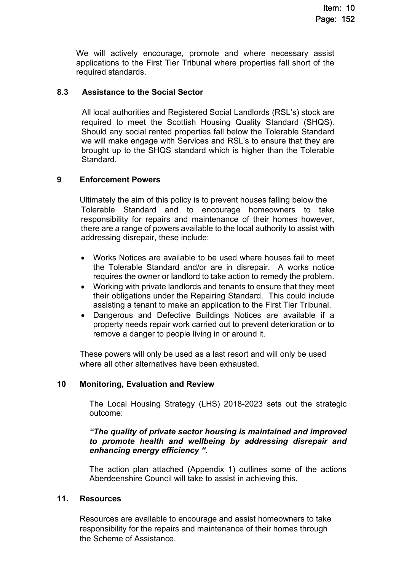We will actively encourage, promote and where necessary assist applications to the First Tier Tribunal where properties fall short of the required standards.

# **8.3 Assistance to the Social Sector**

 All local authorities and Registered Social Landlords (RSL's) stock are required to meet the Scottish Housing Quality Standard (SHQS). Should any social rented properties fall below the Tolerable Standard we will make engage with Services and RSL's to ensure that they are brought up to the SHQS standard which is higher than the Tolerable Standard.

# **9 Enforcement Powers**

Ultimately the aim of this policy is to prevent houses falling below the Tolerable Standard and to encourage homeowners to take responsibility for repairs and maintenance of their homes however, there are a range of powers available to the local authority to assist with addressing disrepair, these include:

- Works Notices are available to be used where houses fail to meet the Tolerable Standard and/or are in disrepair. A works notice requires the owner or landlord to take action to remedy the problem.
- Working with private landlords and tenants to ensure that they meet their obligations under the Repairing Standard. This could include assisting a tenant to make an application to the First Tier Tribunal.
- Dangerous and Defective Buildings Notices are available if a property needs repair work carried out to prevent deterioration or to remove a danger to people living in or around it.

 These powers will only be used as a last resort and will only be used where all other alternatives have been exhausted.

# **10 Monitoring, Evaluation and Review**

The Local Housing Strategy (LHS) 2018-2023 sets out the strategic outcome:

#### *"The quality of private sector housing is maintained and improved to promote health and wellbeing by addressing disrepair and enhancing energy efficiency ".*

The action plan attached (Appendix 1) outlines some of the actions Aberdeenshire Council will take to assist in achieving this.

# **11. Resources**

 Resources are available to encourage and assist homeowners to take responsibility for the repairs and maintenance of their homes through the Scheme of Assistance.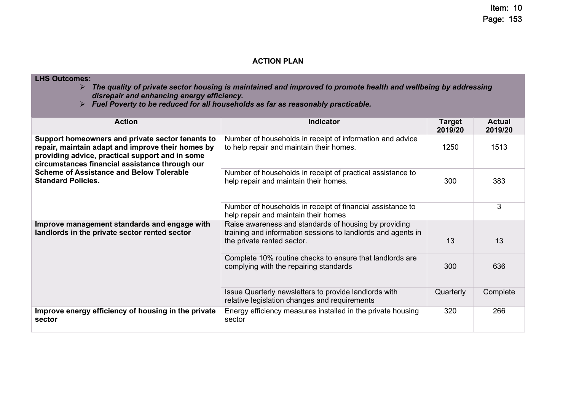#### **ACTION PLAN**

**LHS Outcomes:** 

- *The quality of private sector housing is maintained and improved to promote health and wellbeing by addressing disrepair and enhancing energy efficiency.*
- *Fuel Poverty to be reduced for all households as far as reasonably practicable.*

| <b>Action</b>                                                                                                                                                                                              | <b>Indicator</b>                                                                                                                                    | <b>Target</b><br>2019/20 | <b>Actual</b><br>2019/20 |
|------------------------------------------------------------------------------------------------------------------------------------------------------------------------------------------------------------|-----------------------------------------------------------------------------------------------------------------------------------------------------|--------------------------|--------------------------|
| Support homeowners and private sector tenants to<br>repair, maintain adapt and improve their homes by<br>providing advice, practical support and in some<br>circumstances financial assistance through our | Number of households in receipt of information and advice<br>to help repair and maintain their homes.                                               | 1250                     | 1513                     |
| <b>Scheme of Assistance and Below Tolerable</b><br><b>Standard Policies.</b>                                                                                                                               | Number of households in receipt of practical assistance to<br>help repair and maintain their homes.                                                 | 300                      | 383                      |
|                                                                                                                                                                                                            | Number of households in receipt of financial assistance to<br>help repair and maintain their homes                                                  |                          | 3                        |
| Improve management standards and engage with<br>landlords in the private sector rented sector                                                                                                              | Raise awareness and standards of housing by providing<br>training and information sessions to landlords and agents in<br>the private rented sector. | 13                       | 13                       |
|                                                                                                                                                                                                            | Complete 10% routine checks to ensure that landlords are<br>complying with the repairing standards                                                  | 300                      | 636                      |
|                                                                                                                                                                                                            | Issue Quarterly newsletters to provide landlords with<br>relative legislation changes and requirements                                              | Quarterly                | Complete                 |
| Improve energy efficiency of housing in the private<br>sector                                                                                                                                              | Energy efficiency measures installed in the private housing<br>sector                                                                               | 320                      | 266                      |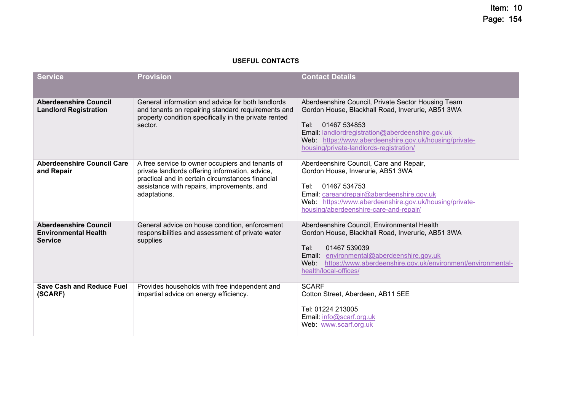#### **USEFUL CONTACTS**

| <b>Service</b>                                                                | <b>Provision</b>                                                                                                                                                                                                      | <b>Contact Details</b>                                                                                                                                                                                                                                                                     |
|-------------------------------------------------------------------------------|-----------------------------------------------------------------------------------------------------------------------------------------------------------------------------------------------------------------------|--------------------------------------------------------------------------------------------------------------------------------------------------------------------------------------------------------------------------------------------------------------------------------------------|
| <b>Aberdeenshire Council</b><br><b>Landlord Registration</b>                  | General information and advice for both landlords<br>and tenants on repairing standard requirements and<br>property condition specifically in the private rented<br>sector.                                           | Aberdeenshire Council, Private Sector Housing Team<br>Gordon House, Blackhall Road, Inverurie, AB51 3WA<br>01467 534853<br>Tel: I<br>Email: landlordregistration@aberdeenshire.gov.uk<br>Web: https://www.aberdeenshire.gov.uk/housing/private-<br>housing/private-landlords-registration/ |
| Aberdeenshire Council Care<br>and Repair                                      | A free service to owner occupiers and tenants of<br>private landlords offering information, advice,<br>practical and in certain circumstances financial<br>assistance with repairs, improvements, and<br>adaptations. | Aberdeenshire Council, Care and Repair,<br>Gordon House, Inverurie, AB51 3WA<br>01467 534753<br>Tel:<br>Email: careandrepair@aberdeenshire.gov.uk<br>Web: https://www.aberdeenshire.gov.uk/housing/private-<br>housing/aberdeenshire-care-and-repair/                                      |
| <b>Aberdeenshire Council</b><br><b>Environmental Health</b><br><b>Service</b> | General advice on house condition, enforcement<br>responsibilities and assessment of private water<br>supplies                                                                                                        | Aberdeenshire Council, Environmental Health<br>Gordon House, Blackhall Road, Inverurie, AB51 3WA<br>01467 539039<br>Tel:<br>Email: environmental@aberdeenshire.gov.uk<br>https://www.aberdeenshire.gov.uk/environment/environmental-<br>Web:<br>health/local-offices/                      |
| <b>Save Cash and Reduce Fuel</b><br>(SCARF)                                   | Provides households with free independent and<br>impartial advice on energy efficiency.                                                                                                                               | <b>SCARF</b><br>Cotton Street, Aberdeen, AB11 5EE<br>Tel: 01224 213005<br>Email: info@scarf.org.uk<br>Web: www.scarf.org.uk                                                                                                                                                                |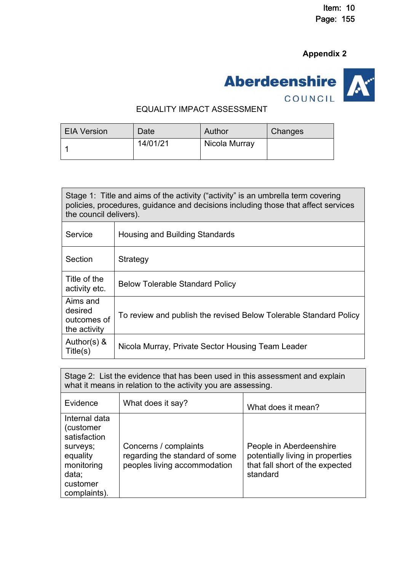# **Appendix 2**



#### EQUALITY IMPACT ASSESSMENT

| <b>EIA Version</b> | Date     | Author        | <b>Changes</b> |
|--------------------|----------|---------------|----------------|
|                    | 14/01/21 | Nicola Murray |                |

| the council delivers).                             | Stage 1: Title and aims of the activity ("activity" is an umbrella term covering<br>policies, procedures, guidance and decisions including those that affect services |
|----------------------------------------------------|-----------------------------------------------------------------------------------------------------------------------------------------------------------------------|
| Service                                            | Housing and Building Standards                                                                                                                                        |
| Section                                            | Strategy                                                                                                                                                              |
| Title of the<br>activity etc.                      | <b>Below Tolerable Standard Policy</b>                                                                                                                                |
| Aims and<br>desired<br>outcomes of<br>the activity | To review and publish the revised Below Tolerable Standard Policy                                                                                                     |
| Author(s) $\&$<br>Title(s)                         | Nicola Murray, Private Sector Housing Team Leader                                                                                                                     |

Stage 2: List the evidence that has been used in this assessment and explain what it means in relation to the activity you are assessing.

| Evidence                                                                                                              | What does it say?                                                                       | What does it mean?                                                                                         |
|-----------------------------------------------------------------------------------------------------------------------|-----------------------------------------------------------------------------------------|------------------------------------------------------------------------------------------------------------|
| Internal data<br>(customer<br>satisfaction<br>surveys;<br>equality<br>monitoring<br>data;<br>customer<br>complaints). | Concerns / complaints<br>regarding the standard of some<br>peoples living accommodation | People in Aberdeenshire<br>potentially living in properties<br>that fall short of the expected<br>standard |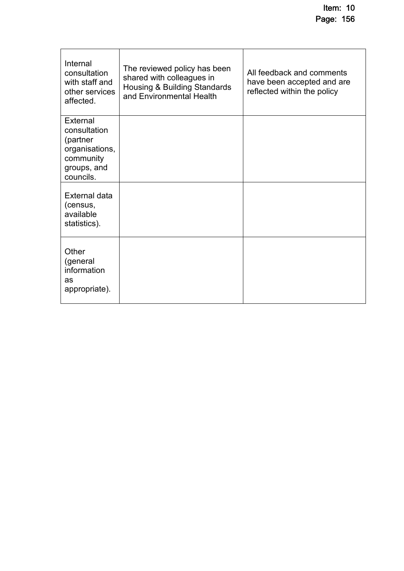| Internal<br>consultation<br>with staff and<br>other services<br>affected.                       | The reviewed policy has been<br>shared with colleagues in<br><b>Housing &amp; Building Standards</b><br>and Environmental Health | All feedback and comments<br>have been accepted and are<br>reflected within the policy |
|-------------------------------------------------------------------------------------------------|----------------------------------------------------------------------------------------------------------------------------------|----------------------------------------------------------------------------------------|
| External<br>consultation<br>(partner<br>organisations,<br>community<br>groups, and<br>councils. |                                                                                                                                  |                                                                                        |
| <b>External data</b><br>(census,<br>available<br>statistics).                                   |                                                                                                                                  |                                                                                        |
| Other<br>(general<br>information<br>as<br>appropriate).                                         |                                                                                                                                  |                                                                                        |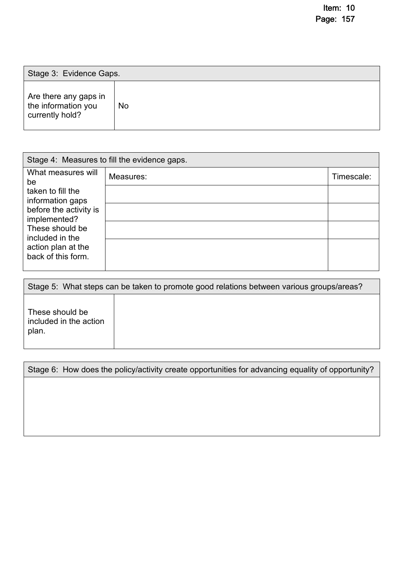| Stage 3: Evidence Gaps.                                         |           |
|-----------------------------------------------------------------|-----------|
| Are there any gaps in<br>the information you<br>currently hold? | <b>No</b> |

| Stage 4: Measures to fill the evidence gaps. |           |            |
|----------------------------------------------|-----------|------------|
| What measures will<br>be                     | Measures: | Timescale: |
| taken to fill the<br>information gaps        |           |            |
| before the activity is<br>implemented?       |           |            |
| These should be<br>included in the           |           |            |
| action plan at the<br>back of this form.     |           |            |

|                                                    | Stage 5: What steps can be taken to promote good relations between various groups/areas? |
|----------------------------------------------------|------------------------------------------------------------------------------------------|
| These should be<br>included in the action<br>plan. |                                                                                          |

| Stage 6: How does the policy/activity create opportunities for advancing equality of opportunity? |
|---------------------------------------------------------------------------------------------------|
|                                                                                                   |
|                                                                                                   |
|                                                                                                   |
|                                                                                                   |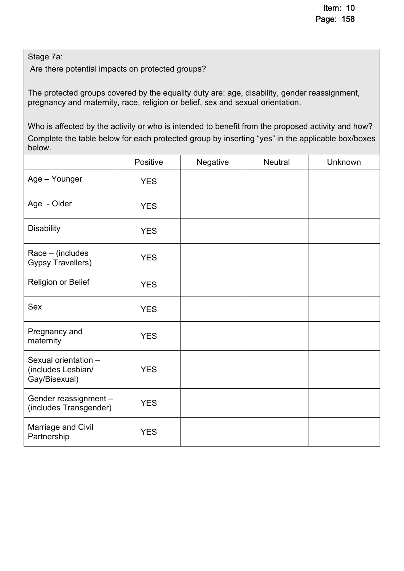Stage 7a:

Are there potential impacts on protected groups?

The protected groups covered by the equality duty are: age, disability, gender reassignment, pregnancy and maternity, race, religion or belief, sex and sexual orientation.

Who is affected by the activity or who is intended to benefit from the proposed activity and how? Complete the table below for each protected group by inserting "yes" in the applicable box/boxes below.

|                                                               | Positive   | Negative | Neutral | Unknown |
|---------------------------------------------------------------|------------|----------|---------|---------|
| Age - Younger                                                 | <b>YES</b> |          |         |         |
| Age - Older                                                   | <b>YES</b> |          |         |         |
| <b>Disability</b>                                             | <b>YES</b> |          |         |         |
| $Race - (includes)$<br><b>Gypsy Travellers)</b>               | <b>YES</b> |          |         |         |
| <b>Religion or Belief</b>                                     | <b>YES</b> |          |         |         |
| <b>Sex</b>                                                    | <b>YES</b> |          |         |         |
| Pregnancy and<br>maternity                                    | <b>YES</b> |          |         |         |
| Sexual orientation -<br>(includes Lesbian/<br>Gay/Bisexual)   | <b>YES</b> |          |         |         |
| Gender reassignment -<br><b>YES</b><br>(includes Transgender) |            |          |         |         |
| Marriage and Civil<br>Partnership                             | <b>YES</b> |          |         |         |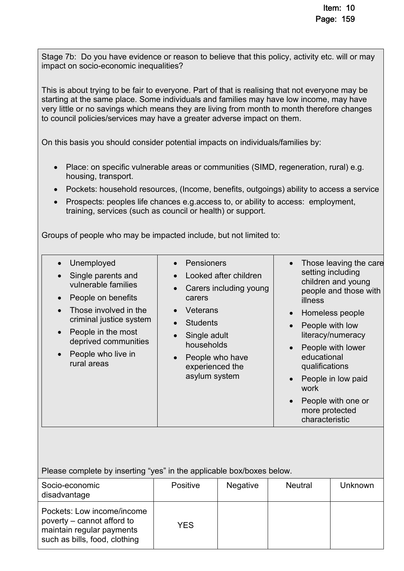Stage 7b: Do you have evidence or reason to believe that this policy, activity etc. will or may impact on socio-economic inequalities?

This is about trying to be fair to everyone. Part of that is realising that not everyone may be starting at the same place. Some individuals and families may have low income, may have very little or no savings which means they are living from month to month therefore changes to council policies/services may have a greater adverse impact on them.

On this basis you should consider potential impacts on individuals/families by:

- Place: on specific vulnerable areas or communities (SIMD, regeneration, rural) e.g. housing, transport.
- Pockets: household resources, (Income, benefits, outgoings) ability to access a service
- Prospects: peoples life chances e.g.access to, or ability to access: employment, training, services (such as council or health) or support.

Groups of people who may be impacted include, but not limited to:

| Unemployed<br>Single parents and<br>vulnerable families<br>People on benefits<br>Those involved in the<br>criminal justice system<br>People in the most<br>deprived communities<br>People who live in<br>rural areas | Pensioners<br>Looked after children<br>Carers including young<br>carers<br>Veterans<br><b>Students</b><br>Single adult<br>households<br>People who have<br>experienced the<br>asylum system | Those leaving the care<br>$\bullet$<br>setting including<br>children and young<br>people and those with<br>illness<br>Homeless people<br>$\bullet$<br>People with low<br>$\bullet$<br>literacy/numeracy<br>People with lower<br>$\bullet$<br>educational<br>qualifications<br>People in low paid<br>$\bullet$<br>work<br>People with one or<br>more protected<br>characteristic |
|----------------------------------------------------------------------------------------------------------------------------------------------------------------------------------------------------------------------|---------------------------------------------------------------------------------------------------------------------------------------------------------------------------------------------|---------------------------------------------------------------------------------------------------------------------------------------------------------------------------------------------------------------------------------------------------------------------------------------------------------------------------------------------------------------------------------|
|----------------------------------------------------------------------------------------------------------------------------------------------------------------------------------------------------------------------|---------------------------------------------------------------------------------------------------------------------------------------------------------------------------------------------|---------------------------------------------------------------------------------------------------------------------------------------------------------------------------------------------------------------------------------------------------------------------------------------------------------------------------------------------------------------------------------|

Please complete by inserting "yes" in the applicable box/boxes below.

| Socio-economic<br>disadvantage                                                                                         | Positive | <b>Negative</b> | <b>Neutral</b> | <b>Unknown</b> |
|------------------------------------------------------------------------------------------------------------------------|----------|-----------------|----------------|----------------|
| Pockets: Low income/income<br>poverty – cannot afford to<br>maintain regular payments<br>such as bills, food, clothing | YES      |                 |                |                |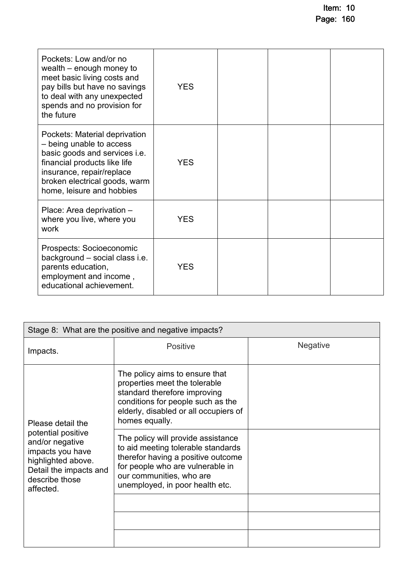| Pockets: Low and/or no<br>wealth – enough money to<br>meet basic living costs and<br>pay bills but have no savings<br>to deal with any unexpected<br>spends and no provision for<br>the future                        | <b>YES</b> |  |  |
|-----------------------------------------------------------------------------------------------------------------------------------------------------------------------------------------------------------------------|------------|--|--|
| Pockets: Material deprivation<br>- being unable to access<br>basic goods and services i.e.<br>financial products like life<br>insurance, repair/replace<br>broken electrical goods, warm<br>home, leisure and hobbies | <b>YES</b> |  |  |
| Place: Area deprivation -<br>where you live, where you<br>work                                                                                                                                                        | <b>YES</b> |  |  |
| Prospects: Socioeconomic<br>background - social class i.e.<br>parents education,<br>employment and income,<br>educational achievement.                                                                                | <b>YES</b> |  |  |

| Stage 8: What are the positive and negative impacts?                                                                                     |                                                                                                                                                                                                                   |                 |  |  |
|------------------------------------------------------------------------------------------------------------------------------------------|-------------------------------------------------------------------------------------------------------------------------------------------------------------------------------------------------------------------|-----------------|--|--|
| Impacts.                                                                                                                                 | <b>Positive</b>                                                                                                                                                                                                   | <b>Negative</b> |  |  |
| Please detail the                                                                                                                        | The policy aims to ensure that<br>properties meet the tolerable<br>standard therefore improving<br>conditions for people such as the<br>elderly, disabled or all occupiers of<br>homes equally.                   |                 |  |  |
| potential positive<br>and/or negative<br>impacts you have<br>highlighted above.<br>Detail the impacts and<br>describe those<br>affected. | The policy will provide assistance<br>to aid meeting tolerable standards<br>therefor having a positive outcome<br>for people who are vulnerable in<br>our communities, who are<br>unemployed, in poor health etc. |                 |  |  |
|                                                                                                                                          |                                                                                                                                                                                                                   |                 |  |  |
|                                                                                                                                          |                                                                                                                                                                                                                   |                 |  |  |
|                                                                                                                                          |                                                                                                                                                                                                                   |                 |  |  |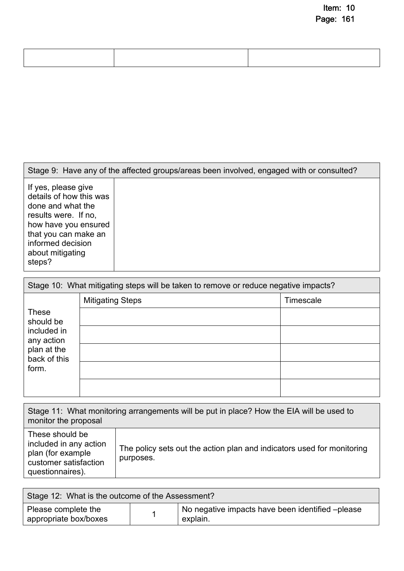| Stage 9: Have any of the affected groups/areas been involved, engaged with or consulted?                                                                                                       |  |  |
|------------------------------------------------------------------------------------------------------------------------------------------------------------------------------------------------|--|--|
| If yes, please give<br>details of how this was<br>done and what the<br>results were. If no,<br>how have you ensured<br>that you can make an<br>informed decision<br>about mitigating<br>steps? |  |  |

| Stage 10: What mitigating steps will be taken to remove or reduce negative impacts? |                         |           |  |
|-------------------------------------------------------------------------------------|-------------------------|-----------|--|
|                                                                                     | <b>Mitigating Steps</b> | Timescale |  |
| <b>These</b><br>should be                                                           |                         |           |  |
| included in<br>any action                                                           |                         |           |  |
| plan at the<br>back of this                                                         |                         |           |  |
| form.                                                                               |                         |           |  |
|                                                                                     |                         |           |  |

| Stage 11: What monitoring arrangements will be put in place? How the EIA will be used to<br>monitor the proposal |                                                                                     |  |  |
|------------------------------------------------------------------------------------------------------------------|-------------------------------------------------------------------------------------|--|--|
| These should be<br>included in any action<br>plan (for example<br>customer satisfaction<br>questionnaires).      | The policy sets out the action plan and indicators used for monitoring<br>purposes. |  |  |

| Stage 12: What is the outcome of the Assessment? |  |                                                               |  |
|--------------------------------------------------|--|---------------------------------------------------------------|--|
| Please complete the<br>appropriate box/boxes     |  | No negative impacts have been identified – please<br>explain. |  |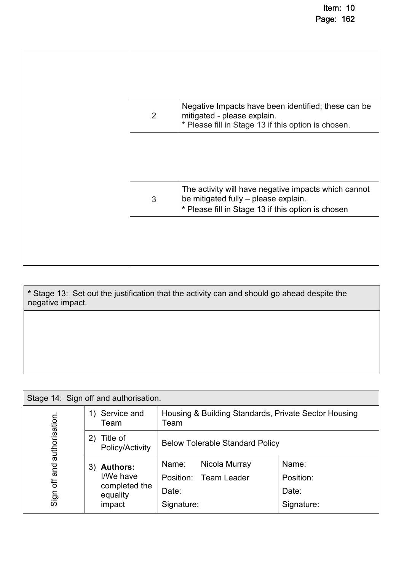| 2 | Negative Impacts have been identified; these can be<br>mitigated - please explain.<br>* Please fill in Stage 13 if this option is chosen.          |
|---|----------------------------------------------------------------------------------------------------------------------------------------------------|
|   |                                                                                                                                                    |
| 3 | The activity will have negative impacts which cannot<br>be mitigated fully - please explain.<br>* Please fill in Stage 13 if this option is chosen |
|   |                                                                                                                                                    |

**\*** Stage 13: Set out the justification that the activity can and should go ahead despite the negative impact.

| Stage 14: Sign off and authorisation. |                                                                           |                                                                        |                                           |  |
|---------------------------------------|---------------------------------------------------------------------------|------------------------------------------------------------------------|-------------------------------------------|--|
|                                       | Service and<br>1)<br>Team                                                 | Housing & Building Standards, Private Sector Housing<br>Team           |                                           |  |
| authorisation                         | Title of<br>2)<br>Policy/Activity                                         | <b>Below Tolerable Standard Policy</b>                                 |                                           |  |
| and<br>Sign off                       | <b>Authors:</b><br>3)<br>I/We have<br>completed the<br>equality<br>impact | Name:<br>Nicola Murray<br>Position: Team Leader<br>Date:<br>Signature: | Name:<br>Position:<br>Date:<br>Signature: |  |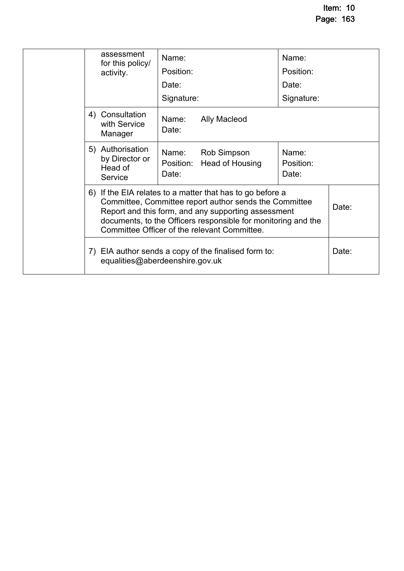|  |                                                                                         | assessment<br>for this policy/                           | Name:                                                                                                                                                                                                                                                                                       |                                                | Name:                       |       |  |
|--|-----------------------------------------------------------------------------------------|----------------------------------------------------------|---------------------------------------------------------------------------------------------------------------------------------------------------------------------------------------------------------------------------------------------------------------------------------------------|------------------------------------------------|-----------------------------|-------|--|
|  |                                                                                         | activity.                                                | Position:                                                                                                                                                                                                                                                                                   |                                                | Position:                   |       |  |
|  |                                                                                         |                                                          | Date:                                                                                                                                                                                                                                                                                       |                                                | Date:                       |       |  |
|  |                                                                                         |                                                          | Signature:                                                                                                                                                                                                                                                                                  |                                                | Signature:                  |       |  |
|  |                                                                                         | 4) Consultation<br>with Service<br>Manager               | Name:<br>Date:                                                                                                                                                                                                                                                                              | <b>Ally Macleod</b>                            |                             |       |  |
|  |                                                                                         | 5) Authorisation<br>by Director or<br>Head of<br>Service | Date:                                                                                                                                                                                                                                                                                       | Name: Rob Simpson<br>Position: Head of Housing | Name:<br>Position:<br>Date: |       |  |
|  |                                                                                         |                                                          | 6) If the EIA relates to a matter that has to go before a<br>Committee, Committee report author sends the Committee<br>Report and this form, and any supporting assessment<br>documents, to the Officers responsible for monitoring and the<br>Committee Officer of the relevant Committee. |                                                |                             |       |  |
|  | 7) EIA author sends a copy of the finalised form to:<br>equalities@aberdeenshire.gov.uk |                                                          |                                                                                                                                                                                                                                                                                             |                                                |                             | Date: |  |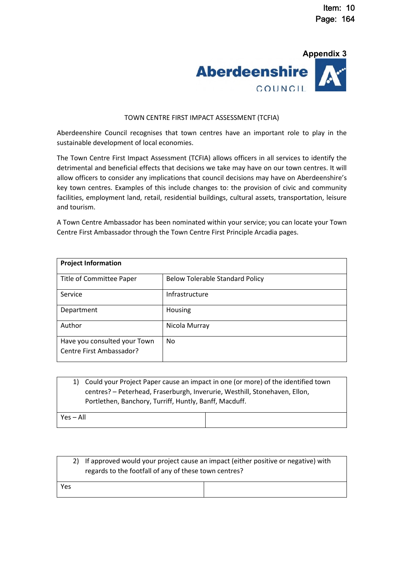

#### TOWN CENTRE FIRST IMPACT ASSESSMENT (TCFIA)

Aberdeenshire Council recognises that town centres have an important role to play in the sustainable development of local economies.

The Town Centre First Impact Assessment (TCFIA) allows officers in all services to identify the detrimental and beneficial effects that decisions we take may have on our town centres. It will allow officers to consider any implications that council decisions may have on Aberdeenshire's key town centres. Examples of this include changes to: the provision of civic and community facilities, employment land, retail, residential buildings, cultural assets, transportation, leisure and tourism.

A Town Centre Ambassador has been nominated within your service; you can locate your Town Centre First Ambassador through the Town Centre First Principle Arcadia pages.

| <b>Project Information</b>                               |                                        |  |  |  |
|----------------------------------------------------------|----------------------------------------|--|--|--|
| Title of Committee Paper                                 | <b>Below Tolerable Standard Policy</b> |  |  |  |
| Service                                                  | Infrastructure                         |  |  |  |
| Department                                               | Housing                                |  |  |  |
| Author                                                   | Nicola Murray                          |  |  |  |
| Have you consulted your Town<br>Centre First Ambassador? | No.                                    |  |  |  |

| Could your Project Paper cause an impact in one (or more) of the identified town<br><sup>1</sup> |  |  |  |  |  |
|--------------------------------------------------------------------------------------------------|--|--|--|--|--|
| centres? - Peterhead, Fraserburgh, Inverurie, Westhill, Stonehaven, Ellon,                       |  |  |  |  |  |
| Portlethen, Banchory, Turriff, Huntly, Banff, Macduff.                                           |  |  |  |  |  |
| Yes – All                                                                                        |  |  |  |  |  |

|     | 2) If approved would your project cause an impact (either positive or negative) with<br>regards to the footfall of any of these town centres? |  |  |
|-----|-----------------------------------------------------------------------------------------------------------------------------------------------|--|--|
| Yes |                                                                                                                                               |  |  |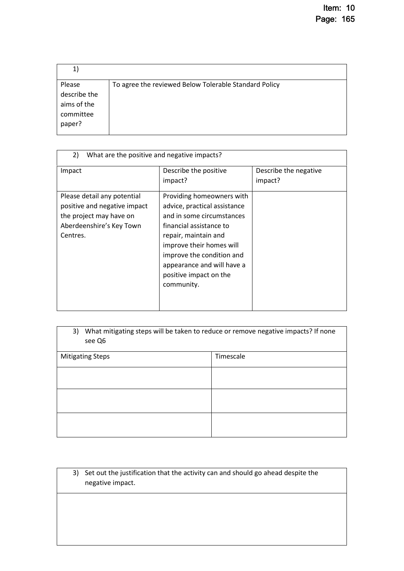| 1,                                                           |                                                       |
|--------------------------------------------------------------|-------------------------------------------------------|
| Please<br>describe the<br>aims of the<br>committee<br>paper? | To agree the reviewed Below Tolerable Standard Policy |

| 2)<br>What are the positive and negative impacts?                                                                              |                                                                                                                                                                                                                                                                          |                                  |  |  |  |
|--------------------------------------------------------------------------------------------------------------------------------|--------------------------------------------------------------------------------------------------------------------------------------------------------------------------------------------------------------------------------------------------------------------------|----------------------------------|--|--|--|
| Impact                                                                                                                         | Describe the positive<br>impact?                                                                                                                                                                                                                                         | Describe the negative<br>impact? |  |  |  |
| Please detail any potential<br>positive and negative impact<br>the project may have on<br>Aberdeenshire's Key Town<br>Centres. | Providing homeowners with<br>advice, practical assistance<br>and in some circumstances<br>financial assistance to<br>repair, maintain and<br>improve their homes will<br>improve the condition and<br>appearance and will have a<br>positive impact on the<br>community. |                                  |  |  |  |

| 3)<br>see Q6            | What mitigating steps will be taken to reduce or remove negative impacts? If none |  |  |  |
|-------------------------|-----------------------------------------------------------------------------------|--|--|--|
| <b>Mitigating Steps</b> | Timescale                                                                         |  |  |  |
|                         |                                                                                   |  |  |  |
|                         |                                                                                   |  |  |  |
|                         |                                                                                   |  |  |  |

3) Set out the justification that the activity can and should go ahead despite the negative impact.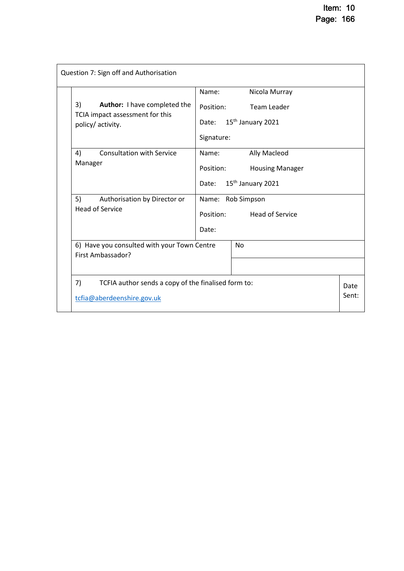| Question 7: Sign off and Authorisation |                                                                                            |                                  |                                                                                                    |  |  |
|----------------------------------------|--------------------------------------------------------------------------------------------|----------------------------------|----------------------------------------------------------------------------------------------------|--|--|
|                                        | Author: I have completed the<br>3)<br>TCIA impact assessment for this<br>policy/ activity. | Name:<br>Position:<br>Signature: | Nicola Murray<br><b>Team Leader</b><br>Date: 15 <sup>th</sup> January 2021                         |  |  |
|                                        | <b>Consultation with Service</b><br>4)<br>Manager<br>5)<br>Authorisation by Director or    | Name:<br>Position:               | Ally Macleod<br><b>Housing Manager</b><br>Date: 15 <sup>th</sup> January 2021<br>Name: Rob Simpson |  |  |
|                                        | <b>Head of Service</b><br>6) Have you consulted with your Town Centre                      | Position:<br>Date:               | <b>Head of Service</b><br><b>No</b>                                                                |  |  |
|                                        | First Ambassador?                                                                          |                                  |                                                                                                    |  |  |
|                                        | 7)<br>TCFIA author sends a copy of the finalised form to:<br>tcfia@aberdeenshire.gov.uk    |                                  |                                                                                                    |  |  |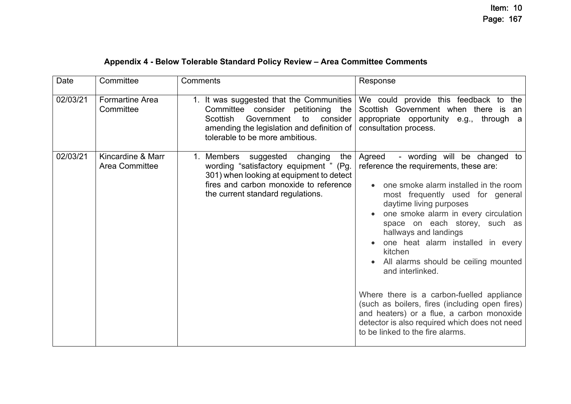# **Appendix 4 - Below Tolerable Standard Policy Review – Area Committee Comments**

| Date     | Committee                                  | Comments                                                                                                                                                                                                           | Response                                                                                                                                                                                                                                                                                                                                                                                                                                                                                                                                                                                                                                |
|----------|--------------------------------------------|--------------------------------------------------------------------------------------------------------------------------------------------------------------------------------------------------------------------|-----------------------------------------------------------------------------------------------------------------------------------------------------------------------------------------------------------------------------------------------------------------------------------------------------------------------------------------------------------------------------------------------------------------------------------------------------------------------------------------------------------------------------------------------------------------------------------------------------------------------------------------|
| 02/03/21 | <b>Formartine Area</b><br>Committee        | 1. It was suggested that the Communities<br>Committee consider petitioning the<br><b>Scottish</b><br>Government<br>to<br>consider<br>amending the legislation and definition of<br>tolerable to be more ambitious. | We could provide this feedback to the<br>Scottish Government when there is<br>an<br>appropriate opportunity e.g., through a<br>consultation process.                                                                                                                                                                                                                                                                                                                                                                                                                                                                                    |
| 02/03/21 | Kincardine & Marr<br><b>Area Committee</b> | 1. Members suggested changing<br>the<br>wording "satisfactory equipment " (Pg.<br>301) when looking at equipment to detect<br>fires and carbon monoxide to reference<br>the current standard regulations.          | Agreed<br>- wording will be changed to<br>reference the requirements, these are:<br>one smoke alarm installed in the room<br>most frequently used for general<br>daytime living purposes<br>one smoke alarm in every circulation<br>space on each storey, such as<br>hallways and landings<br>one heat alarm installed in every<br>kitchen<br>All alarms should be ceiling mounted<br>and interlinked.<br>Where there is a carbon-fuelled appliance<br>(such as boilers, fires (including open fires)<br>and heaters) or a flue, a carbon monoxide<br>detector is also required which does not need<br>to be linked to the fire alarms. |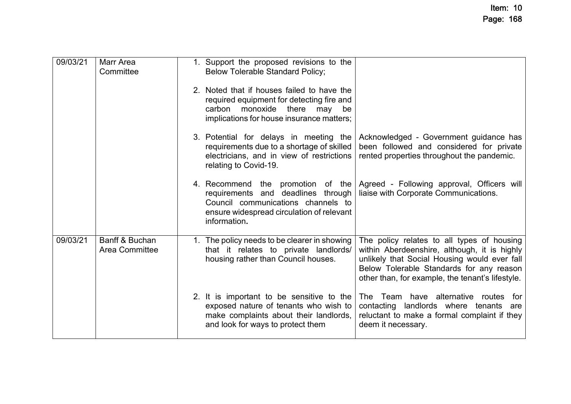| 09/03/21 | Marr Area<br>Committee                  | 1. Support the proposed revisions to the<br><b>Below Tolerable Standard Policy;</b>                                                                                        |                                                                                                                                                                                                                                            |
|----------|-----------------------------------------|----------------------------------------------------------------------------------------------------------------------------------------------------------------------------|--------------------------------------------------------------------------------------------------------------------------------------------------------------------------------------------------------------------------------------------|
|          |                                         | 2. Noted that if houses failed to have the<br>required equipment for detecting fire and<br>monoxide there may<br>carbon<br>be<br>implications for house insurance matters; |                                                                                                                                                                                                                                            |
|          |                                         | requirements due to a shortage of skilled<br>electricians, and in view of restrictions<br>relating to Covid-19.                                                            | 3. Potential for delays in meeting the Acknowledged - Government guidance has<br>been followed and considered for private<br>rented properties throughout the pandemic.                                                                    |
|          |                                         | requirements and deadlines through<br>Council communications channels to<br>ensure widespread circulation of relevant<br>information.                                      | 4. Recommend the promotion of the Agreed - Following approval, Officers will<br>liaise with Corporate Communications.                                                                                                                      |
| 09/03/21 | Banff & Buchan<br><b>Area Committee</b> | 1. The policy needs to be clearer in showing<br>that it relates to private landlords/<br>housing rather than Council houses.                                               | The policy relates to all types of housing<br>within Aberdeenshire, although, it is highly<br>unlikely that Social Housing would ever fall<br>Below Tolerable Standards for any reason<br>other than, for example, the tenant's lifestyle. |
|          |                                         | 2. It is important to be sensitive to the<br>exposed nature of tenants who wish to<br>make complaints about their landlords,<br>and look for ways to protect them          | The Team have alternative routes for<br>contacting landlords where tenants<br>are<br>reluctant to make a formal complaint if they<br>deem it necessary.                                                                                    |